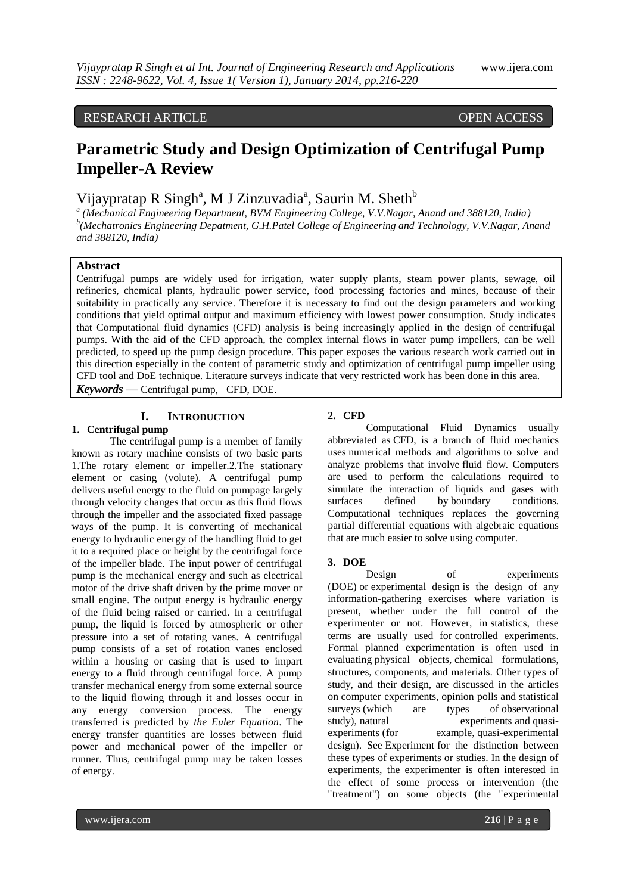## RESEARCH ARTICLE OPEN ACCESS

# **Parametric Study and Design Optimization of Centrifugal Pump Impeller-A Review**

## Vijaypratap R Singh<sup>a</sup>, M J Zinzuvadia<sup>a</sup>, Saurin M. Sheth<sup>b</sup>

*a (Mechanical Engineering Department, BVM Engineering College, V.V.Nagar, Anand and 388120, India) b (Mechatronics Engineering Depatment, G.H.Patel College of Engineering and Technology, V.V.Nagar, Anand and 388120, India)*

### **Abstract**

Centrifugal pumps are widely used for irrigation, water supply plants, steam power plants, sewage, oil refineries, chemical plants, hydraulic power service, food processing factories and mines, because of their suitability in practically any service. Therefore it is necessary to find out the design parameters and working conditions that yield optimal output and maximum efficiency with lowest power consumption. Study indicates that Computational fluid dynamics (CFD) analysis is being increasingly applied in the design of centrifugal pumps. With the aid of the CFD approach, the complex internal flows in water pump impellers, can be well predicted, to speed up the pump design procedure. This paper exposes the various research work carried out in this direction especially in the content of parametric study and optimization of centrifugal pump impeller using CFD tool and DoE technique. Literature surveys indicate that very restricted work has been done in this area. *Keywords* **—** Centrifugal pump, CFD, DOE.

#### **I. INTRODUCTION**

## **1. Centrifugal pump**

The centrifugal pump is a member of family known as rotary machine consists of two basic parts 1.The rotary element or impeller.2.The stationary element or casing (volute). A centrifugal pump delivers useful energy to the fluid on pumpage largely through velocity changes that occur as this fluid flows through the impeller and the associated fixed passage ways of the pump. It is converting of mechanical energy to hydraulic energy of the handling fluid to get it to a required place or height by the centrifugal force of the impeller blade. The input power of centrifugal pump is the mechanical energy and such as electrical motor of the drive shaft driven by the prime mover or small engine. The output energy is hydraulic energy of the fluid being raised or carried. In a centrifugal pump, the liquid is forced by atmospheric or other pressure into a set of rotating vanes. A centrifugal pump consists of a set of rotation vanes enclosed within a housing or casing that is used to impart energy to a fluid through centrifugal force. A pump transfer mechanical energy from some external source to the liquid flowing through it and losses occur in any energy conversion process. The energy transferred is predicted by *the Euler Equation*. The energy transfer quantities are losses between fluid power and mechanical power of the impeller or runner. Thus, centrifugal pump may be taken losses of energy.

## **2. CFD**

Computational Fluid Dynamics usually abbreviated as CFD, is a branch of fluid mechanics uses numerical methods and algorithms to solve and analyze problems that involve fluid flow. Computers are used to perform the calculations required to simulate the interaction of liquids and gases with surfaces defined by boundary conditions. Computational techniques replaces the governing partial differential equations with algebraic equations that are much easier to solve using computer.

#### **3. DOE**

Design of experiments (DOE) or experimental design is the design of any information-gathering exercises where variation is present, whether under the full control of the experimenter or not. However, in [statistics,](http://en.wikipedia.org/wiki/Statistics) these terms are usually used for [controlled experiments.](http://en.wikipedia.org/wiki/Controlled_experiment) Formal planned experimentation is often used in evaluating [physical objects,](http://en.wikipedia.org/wiki/Physical_test) [chemical formulations,](http://en.wikipedia.org/wiki/Chemical_test) structures, components, and materials. Other types of study, and their design, are discussed in the articles on [computer experiments,](http://en.wikipedia.org/wiki/Computer_experiment) [opinion polls](http://en.wikipedia.org/wiki/Opinion_poll) and [statistical](http://en.wikipedia.org/wiki/Statistical_survey)  [surveys](http://en.wikipedia.org/wiki/Statistical_survey) (which are types of [observational](http://en.wikipedia.org/wiki/Observational_study)  [study\)](http://en.wikipedia.org/wiki/Observational_study), [natural experiments](http://en.wikipedia.org/wiki/Natural_experiment) and [quasi](http://en.wikipedia.org/wiki/Quasi-experiment)[experiments](http://en.wikipedia.org/wiki/Quasi-experiment) (for example, [quasi-experimental](http://en.wikipedia.org/wiki/Quasi-experimental_design)  [design\)](http://en.wikipedia.org/wiki/Quasi-experimental_design). See [Experiment](http://en.wikipedia.org/wiki/Experiment) for the distinction between these types of experiments or studies. In the design of experiments, the experimenter is often interested in the effect of some process or intervention (the "treatment") on some objects (the ["experimental](http://en.wikipedia.org/wiki/Experimental_unit)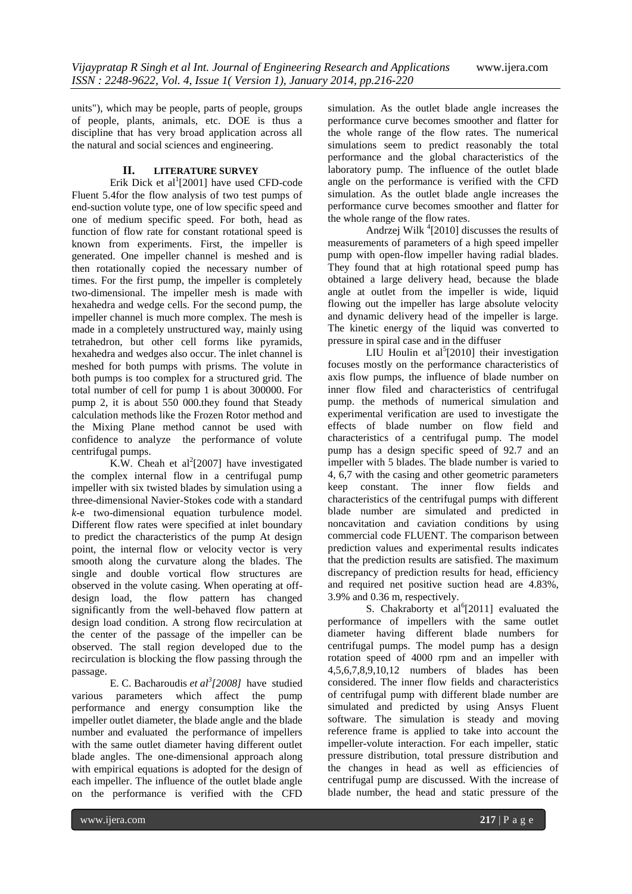units"), which may be people, parts of people, groups of people, plants, animals, etc. DOE is thus a discipline that has very broad application across all the natural and social sciences and engineering.

## **II. LITERATURE SURVEY**

Erik Dick et al $(2001)$  have used CFD-code Fluent 5.4for the flow analysis of two test pumps of end-suction volute type, one of low specific speed and one of medium specific speed. For both, head as function of flow rate for constant rotational speed is known from experiments. First, the impeller is generated. One impeller channel is meshed and is then rotationally copied the necessary number of times. For the first pump, the impeller is completely two-dimensional. The impeller mesh is made with hexahedra and wedge cells. For the second pump, the impeller channel is much more complex. The mesh is made in a completely unstructured way, mainly using tetrahedron, but other cell forms like pyramids, hexahedra and wedges also occur. The inlet channel is meshed for both pumps with prisms. The volute in both pumps is too complex for a structured grid. The total number of cell for pump 1 is about 300000. For pump 2, it is about 550 000.they found that Steady calculation methods like the Frozen Rotor method and the Mixing Plane method cannot be used with confidence to analyze the performance of volute centrifugal pumps.

K.W. Cheah et al<sup>2</sup>[2007] have investigated the complex internal flow in a centrifugal pump impeller with six twisted blades by simulation using a three-dimensional Navier-Stokes code with a standard *k*-e two-dimensional equation turbulence model. Different flow rates were specified at inlet boundary to predict the characteristics of the pump At design point, the internal flow or velocity vector is very smooth along the curvature along the blades. The single and double vortical flow structures are observed in the volute casing. When operating at offdesign load, the flow pattern has changed significantly from the well-behaved flow pattern at design load condition. A strong flow recirculation at the center of the passage of the impeller can be observed. The stall region developed due to the recirculation is blocking the flow passing through the passage.

E. C. Bacharoudis *et al<sup>3</sup> [2008]* have studied various parameters which affect the pump performance and energy consumption like the impeller outlet diameter, the blade angle and the blade number and evaluated the performance of impellers with the same outlet diameter having different outlet blade angles. The one-dimensional approach along with empirical equations is adopted for the design of each impeller. The influence of the outlet blade angle on the performance is verified with the CFD

simulation. As the outlet blade angle increases the performance curve becomes smoother and flatter for the whole range of the flow rates. The numerical simulations seem to predict reasonably the total performance and the global characteristics of the laboratory pump. The influence of the outlet blade angle on the performance is verified with the CFD simulation. As the outlet blade angle increases the performance curve becomes smoother and flatter for the whole range of the flow rates.

Andrzej Wilk<sup>4</sup>[2010] discusses the results of measurements of parameters of a high speed impeller pump with open-flow impeller having radial blades. They found that at high rotational speed pump has obtained a large delivery head, because the blade angle at outlet from the impeller is wide, liquid flowing out the impeller has large absolute velocity and dynamic delivery head of the impeller is large. The kinetic energy of the liquid was converted to pressure in spiral case and in the diffuser

LIU Houlin et al<sup>5</sup>[2010] their investigation focuses mostly on the performance characteristics of axis flow pumps, the influence of blade number on inner flow filed and characteristics of centrifugal pump. the methods of numerical simulation and experimental verification are used to investigate the effects of blade number on flow field and characteristics of a centrifugal pump. The model pump has a design specific speed of 92.7 and an impeller with 5 blades. The blade number is varied to 4, 6,7 with the casing and other geometric parameters keep constant. The inner flow fields and characteristics of the centrifugal pumps with different blade number are simulated and predicted in noncavitation and caviation conditions by using commercial code FLUENT. The comparison between prediction values and experimental results indicates that the prediction results are satisfied. The maximum discrepancy of prediction results for head, efficiency and required net positive suction head are 4.83%, 3.9% and 0.36 m, respectively.

S. Chakraborty et  $al^6[2011]$  evaluated the performance of impellers with the same outlet diameter having different blade numbers for centrifugal pumps. The model pump has a design rotation speed of 4000 rpm and an impeller with 4,5,6,7,8,9,10,12 numbers of blades has been considered. The inner flow fields and characteristics of centrifugal pump with different blade number are simulated and predicted by using Ansys Fluent software. The simulation is steady and moving reference frame is applied to take into account the impeller-volute interaction. For each impeller, static pressure distribution, total pressure distribution and the changes in head as well as efficiencies of centrifugal pump are discussed. With the increase of blade number, the head and static pressure of the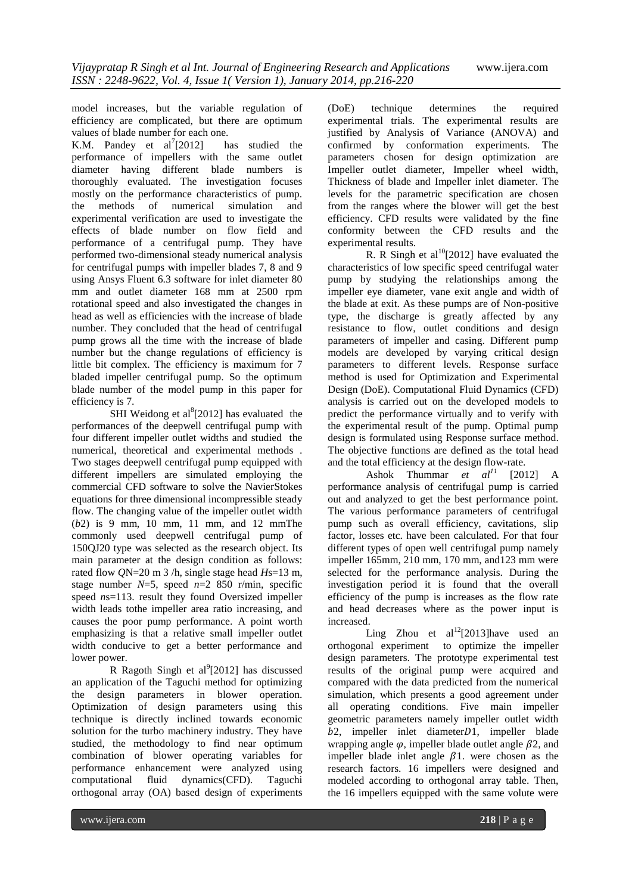model increases, but the variable regulation of efficiency are complicated, but there are optimum values of blade number for each one.

K.M. Pandey et  $al^7[2012]$ has studied the performance of impellers with the same outlet diameter having different blade numbers is thoroughly evaluated. The investigation focuses mostly on the performance characteristics of pump. the methods of numerical simulation and experimental verification are used to investigate the effects of blade number on flow field and performance of a centrifugal pump. They have performed two-dimensional steady numerical analysis for centrifugal pumps with impeller blades 7, 8 and 9 using Ansys Fluent 6.3 software for inlet diameter 80 mm and outlet diameter 168 mm at 2500 rpm rotational speed and also investigated the changes in head as well as efficiencies with the increase of blade number. They concluded that the head of centrifugal pump grows all the time with the increase of blade number but the change regulations of efficiency is little bit complex. The efficiency is maximum for 7 bladed impeller centrifugal pump. So the optimum blade number of the model pump in this paper for efficiency is 7.

SHI Weidong et al $^{8}$ [2012] has evaluated the performances of the deepwell centrifugal pump with four different impeller outlet widths and studied the numerical, theoretical and experimental methods . Two stages deepwell centrifugal pump equipped with different impellers are simulated employing the commercial CFD software to solve the NavierStokes equations for three dimensional incompressible steady flow. The changing value of the impeller outlet width (*b*2) is 9 mm, 10 mm, 11 mm, and 12 mmThe commonly used deepwell centrifugal pump of 150QJ20 type was selected as the research object. Its main parameter at the design condition as follows: rated flow *Q*N=20 m 3 /h, single stage head *H*s=13 m, stage number  $N=5$ , speed  $n=2$  850 r/min, specific speed *n*s=113. result they found Oversized impeller width leads tothe impeller area ratio increasing, and causes the poor pump performance. A point worth emphasizing is that a relative small impeller outlet width conducive to get a better performance and lower power.

R Ragoth Singh et al $^{9}$ [2012] has discussed an application of the Taguchi method for optimizing the design parameters in blower operation. Optimization of design parameters using this technique is directly inclined towards economic solution for the turbo machinery industry. They have studied, the methodology to find near optimum combination of blower operating variables for performance enhancement were analyzed using computational fluid dynamics(CFD). Taguchi orthogonal array (OA) based design of experiments

(DoE) technique determines the required experimental trials. The experimental results are justified by Analysis of Variance (ANOVA) and confirmed by conformation experiments. The parameters chosen for design optimization are Impeller outlet diameter, Impeller wheel width, Thickness of blade and Impeller inlet diameter. The levels for the parametric specification are chosen from the ranges where the blower will get the best efficiency. CFD results were validated by the fine conformity between the CFD results and the experimental results.

R. R Singh et al<sup>10</sup>[2012] have evaluated the characteristics of low specific speed centrifugal water pump by studying the relationships among the impeller eye diameter, vane exit angle and width of the blade at exit. As these pumps are of Non-positive type, the discharge is greatly affected by any resistance to flow, outlet conditions and design parameters of impeller and casing. Different pump models are developed by varying critical design parameters to different levels. Response surface method is used for Optimization and Experimental Design (DoE). Computational Fluid Dynamics (CFD) analysis is carried out on the developed models to predict the performance virtually and to verify with the experimental result of the pump. Optimal pump design is formulated using Response surface method. The objective functions are defined as the total head and the total efficiency at the design flow-rate.

Ashok Thummar  $et$   $al^{11}$  [2012] A performance analysis of centrifugal pump is carried out and analyzed to get the best performance point. The various performance parameters of centrifugal pump such as overall efficiency, cavitations, slip factor, losses etc. have been calculated. For that four different types of open well centrifugal pump namely impeller 165mm, 210 mm, 170 mm, and123 mm were selected for the performance analysis. During the investigation period it is found that the overall efficiency of the pump is increases as the flow rate and head decreases where as the power input is increased.

Ling Zhou et  $al^{12}[2013]$ have used an orthogonal experiment to optimize the impeller design parameters. The prototype experimental test results of the original pump were acquired and compared with the data predicted from the numerical simulation, which presents a good agreement under all operating conditions. Five main impeller geometric parameters namely impeller outlet width  $b2$ , impeller inlet diameter $D1$ , impeller blade wrapping angle  $\varphi$ , impeller blade outlet angle  $\beta$ 2, and impeller blade inlet angle  $\beta$ 1. were chosen as the research factors. 16 impellers were designed and modeled according to orthogonal array table. Then, the 16 impellers equipped with the same volute were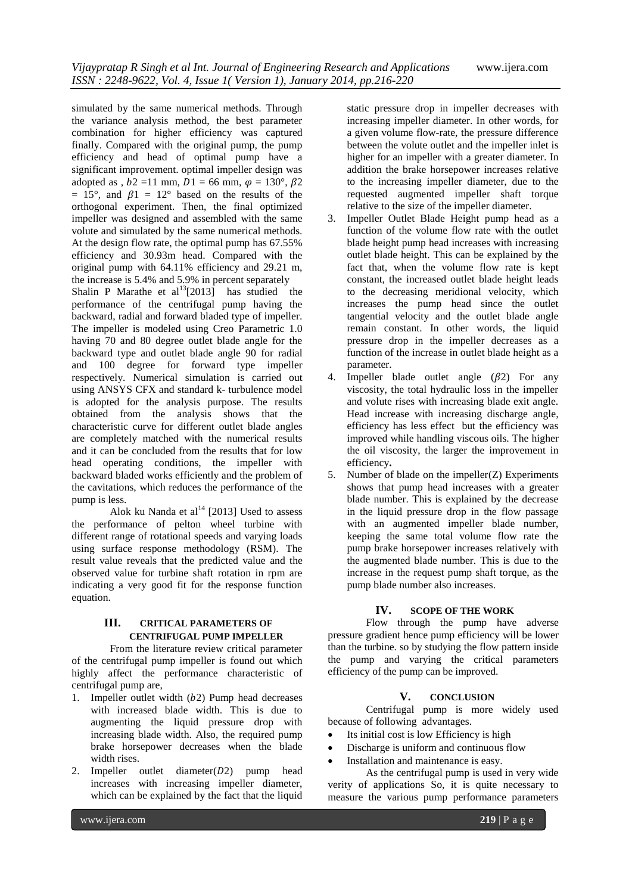simulated by the same numerical methods. Through the variance analysis method, the best parameter combination for higher efficiency was captured finally. Compared with the original pump, the pump efficiency and head of optimal pump have a significant improvement. optimal impeller design was adopted as ,  $b2 = 11$  mm,  $D1 = 66$  mm,  $\omega = 130^{\circ}$ ,  $B2$  $= 15^{\circ}$ , and  $\beta_1 = 12^{\circ}$  based on the results of the orthogonal experiment. Then, the final optimized impeller was designed and assembled with the same volute and simulated by the same numerical methods. At the design flow rate, the optimal pump has 67.55% efficiency and 30.93m head. Compared with the original pump with 64.11% efficiency and 29.21 m, the increase is 5.4% and 5.9% in percent separately Shalin P Marathe et  $al^{13}[2013]$  has studied the performance of the centrifugal pump having the backward, radial and forward bladed type of impeller. The impeller is modeled using Creo Parametric 1.0 having 70 and 80 degree outlet blade angle for the backward type and outlet blade angle 90 for radial and 100 degree for forward type impeller respectively. Numerical simulation is carried out using ANSYS CFX and standard k- turbulence model is adopted for the analysis purpose. The results obtained from the analysis shows that the characteristic curve for different outlet blade angles are completely matched with the numerical results and it can be concluded from the results that for low head operating conditions, the impeller with backward bladed works efficiently and the problem of the cavitations, which reduces the performance of the pump is less.

Alok ku Nanda et al<sup>14</sup> [2013] Used to assess the performance of pelton wheel turbine with different range of rotational speeds and varying loads using surface response methodology (RSM). The result value reveals that the predicted value and the observed value for turbine shaft rotation in rpm are indicating a very good fit for the response function equation.

## **III. CRITICAL PARAMETERS OF CENTRIFUGAL PUMP IMPELLER**

From the literature review critical parameter of the centrifugal pump impeller is found out which highly affect the performance characteristic of centrifugal pump are,

- 1. Impeller outlet width  $(b2)$  Pump head decreases with increased blade width. This is due to augmenting the liquid pressure drop with increasing blade width. Also, the required pump brake horsepower decreases when the blade width rises.
- 2. Impeller outlet diameter $(D2)$  pump head increases with increasing impeller diameter, which can be explained by the fact that the liquid

static pressure drop in impeller decreases with increasing impeller diameter. In other words, for a given volume flow-rate, the pressure difference between the volute outlet and the impeller inlet is higher for an impeller with a greater diameter. In addition the brake horsepower increases relative to the increasing impeller diameter, due to the requested augmented impeller shaft torque relative to the size of the impeller diameter.

- 3. Impeller Outlet Blade Height pump head as a function of the volume flow rate with the outlet blade height pump head increases with increasing outlet blade height. This can be explained by the fact that, when the volume flow rate is kept constant, the increased outlet blade height leads to the decreasing meridional velocity, which increases the pump head since the outlet tangential velocity and the outlet blade angle remain constant. In other words, the liquid pressure drop in the impeller decreases as a function of the increase in outlet blade height as a parameter.
- 4. Impeller blade outlet angle  $(\beta 2)$  For any viscosity, the total hydraulic loss in the impeller and volute rises with increasing blade exit angle. Head increase with increasing discharge angle, efficiency has less effect but the efficiency was improved while handling viscous oils. The higher the oil viscosity, the larger the improvement in efficiency**.**
- 5. Number of blade on the impeller(Z) Experiments shows that pump head increases with a greater blade number. This is explained by the decrease in the liquid pressure drop in the flow passage with an augmented impeller blade number, keeping the same total volume flow rate the pump brake horsepower increases relatively with the augmented blade number. This is due to the increase in the request pump shaft torque, as the pump blade number also increases.

## **IV. SCOPE OF THE WORK**

Flow through the pump have adverse pressure gradient hence pump efficiency will be lower than the turbine. so by studying the flow pattern inside the pump and varying the critical parameters efficiency of the pump can be improved.

## **V. CONCLUSION**

Centrifugal pump is more widely used because of following advantages.

- Its initial cost is low Efficiency is high
- Discharge is uniform and continuous flow
- Installation and maintenance is easy.

As the centrifugal pump is used in very wide verity of applications So, it is quite necessary to measure the various pump performance parameters